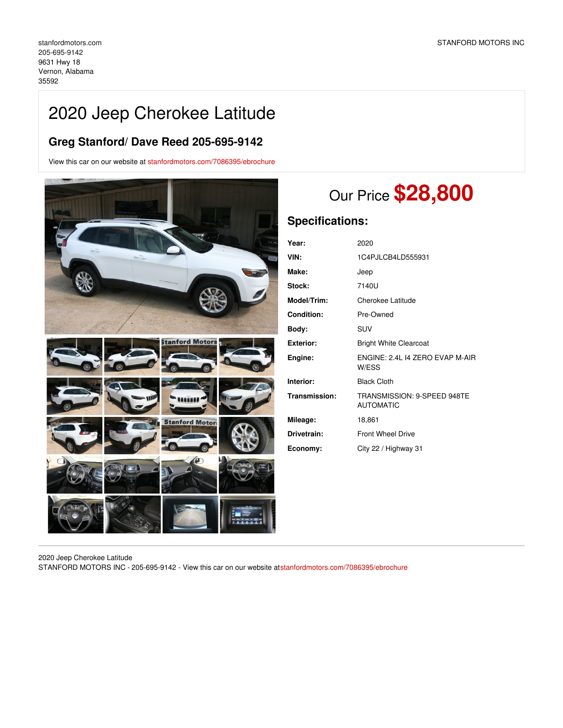## 2020 Jeep Cherokee Latitude

## **Greg Stanford/ Dave Reed 205-695-9142**

View this car on our website at [stanfordmotors.com/7086395/ebrochure](https://stanfordmotors.com/vehicle/7086395/2020-jeep-cherokee-latitude-vernon-alabama-35592/7086395/ebrochure)



# Our Price **\$28,800**

## **Specifications:**

| Year:              | 2020                                            |
|--------------------|-------------------------------------------------|
| VIN:               | 1C4PJLCB4LD555931                               |
| Make:              | Jeep                                            |
| <b>Stock:</b>      | 7140U                                           |
| <b>Model/Trim:</b> | Cherokee Latitude                               |
| <b>Condition:</b>  | Pre-Owned                                       |
| Body:              | SUV                                             |
| <b>Exterior:</b>   | <b>Bright White Clearcoat</b>                   |
| Engine:            | ENGINE: 2.4L 14 ZERO EVAP M-AIR<br>W/ESS        |
| Interior:          | <b>Black Cloth</b>                              |
| Transmission:      | TRANSMISSION: 9-SPEED 948TE<br><b>AUTOMATIC</b> |
| Mileage:           | 18,861                                          |
| Drivetrain:        | <b>Front Wheel Drive</b>                        |
| Economy:           | City 22 / Highway 31                            |

2020 Jeep Cherokee Latitude

STANFORD MOTORS INC - 205-695-9142 - View this car on our website a[tstanfordmotors.com/7086395/ebrochure](https://stanfordmotors.com/vehicle/7086395/2020-jeep-cherokee-latitude-vernon-alabama-35592/7086395/ebrochure)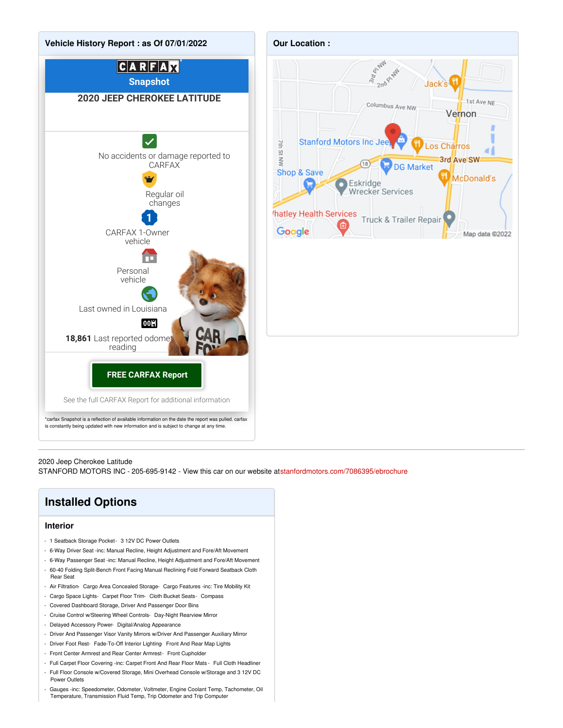



2020 Jeep Cherokee Latitude

STANFORD MOTORS INC - 205-695-9142 - View this car on our website a[tstanfordmotors.com/7086395/ebrochure](https://stanfordmotors.com/vehicle/7086395/2020-jeep-cherokee-latitude-vernon-alabama-35592/7086395/ebrochure)

## **Installed Options**

#### **Interior**

- 1 Seatback Storage Pocket 3 12V DC Power Outlets
- 6-Way Driver Seat -inc: Manual Recline, Height Adjustment and Fore/Aft Movement
- 6-Way Passenger Seat -inc: Manual Recline, Height Adjustment and Fore/Aft Movement
- 60-40 Folding Split-Bench Front Facing Manual Reclining Fold Forward Seatback Cloth Rear Seat
- Air Filtration- Cargo Area Concealed Storage- Cargo Features -inc: Tire Mobility Kit
- Cargo Space Lights- Carpet Floor Trim- Cloth Bucket Seats- Compass
- Covered Dashboard Storage, Driver And Passenger Door Bins
- Cruise Control w/Steering Wheel Controls- Day-Night Rearview Mirror
- Delayed Accessory Power- Digital/Analog Appearance
- Driver And Passenger Visor Vanity Mirrors w/Driver And Passenger Auxiliary Mirror
- Driver Foot Rest- Fade-To-Off Interior Lighting- Front And Rear Map Lights
- Front Center Armrest and Rear Center Armrest- Front Cupholder
- Full Carpet Floor Covering -inc: Carpet Front And Rear Floor Mats Full Cloth Headliner
- Full Floor Console w/Covered Storage, Mini Overhead Console w/Storage and 3 12V DC Power Outlets
- Gauges -inc: Speedometer, Odometer, Voltmeter, Engine Coolant Temp, Tachometer, Oil Temperature, Transmission Fluid Temp, Trip Odometer and Trip Computer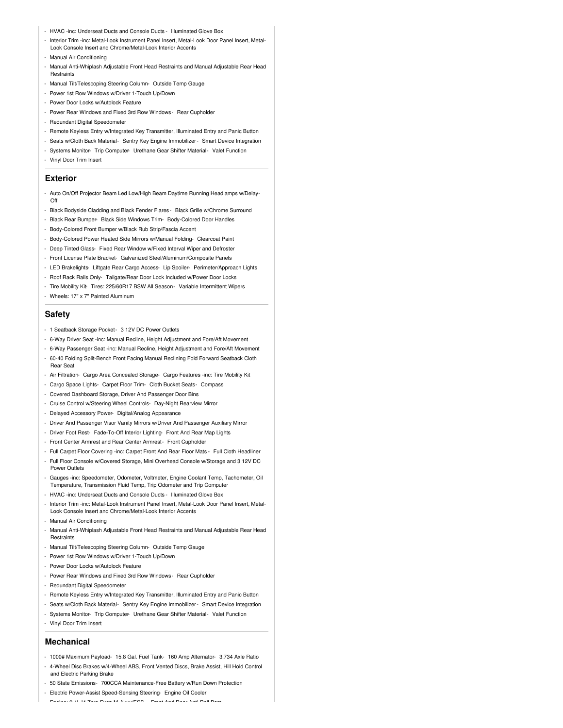- HVAC -inc: Underseat Ducts and Console Ducts Illuminated Glove Box
- Interior Trim -inc: Metal-Look Instrument Panel Insert, Metal-Look Door Panel Insert, Metal-Look Console Insert and Chrome/Metal-Look Interior Accents
- Manual Air Conditioning
- Manual Anti-Whiplash Adjustable Front Head Restraints and Manual Adjustable Rear Head **Restraints**
- Manual Tilt/Telescoping Steering Column- Outside Temp Gauge
- Power 1st Row Windows w/Driver 1-Touch Up/Down
- Power Door Locks w/Autolock Feature
- Power Rear Windows and Fixed 3rd Row Windows- Rear Cupholder
- Redundant Digital Speedometer
- Remote Keyless Entry w/Integrated Key Transmitter, Illuminated Entry and Panic Button
- Seats w/Cloth Back Material- Sentry Key Engine Immobilizer- Smart Device Integration
- Systems Monitor- Trip Computer- Urethane Gear Shifter Material- Valet Function
- Vinyl Door Trim Insert

### **Exterior**

- Auto On/Off Projector Beam Led Low/High Beam Daytime Running Headlamps w/Delay-Off
- Black Bodyside Cladding and Black Fender Flares Black Grille w/Chrome Surround
- Black Rear Bumper- Black Side Windows Trim- Body-Colored Door Handles
- Body-Colored Front Bumper w/Black Rub Strip/Fascia Accent
- Body-Colored Power Heated Side Mirrors w/Manual Folding- Clearcoat Paint
- Deep Tinted Glass- Fixed Rear Window w/Fixed Interval Wiper and Defroster
- Front License Plate Bracket- Galvanized Steel/Aluminum/Composite Panels
- LED Brakelights- Liftgate Rear Cargo Access- Lip Spoiler- Perimeter/Approach Lights
- Roof Rack Rails Only- Tailgate/Rear Door Lock Included w/Power Door Locks
- Tire Mobility Kit-Tires: 225/60R17 BSW All Season- Variable Intermittent Wipers
- Wheels: 17" x 7" Painted Aluminum

### **Safety**

- 1 Seatback Storage Pocket- 3 12V DC Power Outlets
- 6-Way Driver Seat -inc: Manual Recline, Height Adjustment and Fore/Aft Movement
- 6-Way Passenger Seat -inc: Manual Recline, Height Adjustment and Fore/Aft Movement
- 60-40 Folding Split-Bench Front Facing Manual Reclining Fold Forward Seatback Cloth Rear Seat
- Air Filtration- Cargo Area Concealed Storage- Cargo Features -inc: Tire Mobility Kit
- Cargo Space Lights- Carpet Floor Trim- Cloth Bucket Seats- Compass
- Covered Dashboard Storage, Driver And Passenger Door Bins
- Cruise Control w/Steering Wheel Controls- Day-Night Rearview Mirror
- Delayed Accessory Power- Digital/Analog Appearance
- Driver And Passenger Visor Vanity Mirrors w/Driver And Passenger Auxiliary Mirror
- Driver Foot Rest- Fade-To-Off Interior Lighting- Front And Rear Map Lights
- Front Center Armrest and Rear Center Armrest- Front Cupholder
- Full Carpet Floor Covering -inc: Carpet Front And Rear Floor Mats Full Cloth Headliner
- Full Floor Console w/Covered Storage, Mini Overhead Console w/Storage and 3 12V DC Power Outlets
- Gauges -inc: Speedometer, Odometer, Voltmeter, Engine Coolant Temp, Tachometer, Oil Temperature, Transmission Fluid Temp, Trip Odometer and Trip Computer
- HVAC -inc: Underseat Ducts and Console Ducts Illuminated Glove Box
- Interior Trim -inc: Metal-Look Instrument Panel Insert, Metal-Look Door Panel Insert, Metal-Look Console Insert and Chrome/Metal-Look Interior Accents
- Manual Air Conditioning
- Manual Anti-Whiplash Adjustable Front Head Restraints and Manual Adjustable Rear Head **Restraints**
- Manual Tilt/Telescoping Steering Column- Outside Temp Gauge
- Power 1st Row Windows w/Driver 1-Touch Up/Down
- Power Door Locks w/Autolock Feature
- Power Rear Windows and Fixed 3rd Row Windows- Rear Cupholder
- Redundant Digital Speedometer
- Remote Keyless Entry w/Integrated Key Transmitter, Illuminated Entry and Panic Button
- Seats w/Cloth Back Material- Sentry Key Engine Immobilizer- Smart Device Integration
- Systems Monitor- Trip Computer- Urethane Gear Shifter Material- Valet Function
- Vinyl Door Trim Insert

### **Mechanical**

- 1000# Maximum Payload- 15.8 Gal. Fuel Tank- 160 Amp Alternator- 3.734 Axle Ratio
- 4-Wheel Disc Brakes w/4-Wheel ABS, Front Vented Discs, Brake Assist, Hill Hold Control and Electric Parking Brake
- 50 State Emissions- 700CCA Maintenance-Free Battery w/Run Down Protection
- Electric Power-Assist Speed-Sensing Steering- Engine Oil Cooler

- Engine: 2.4L I4 Zero Evap M-Air w/ESS - Front And Rear Anti-Roll Bars